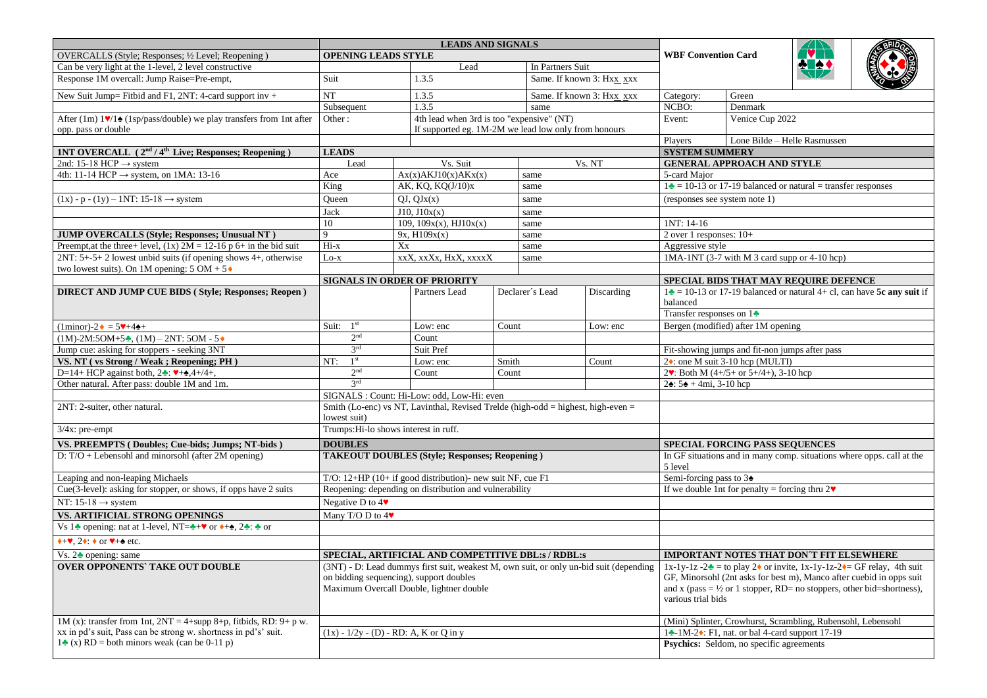|                                                                                        | <b>LEADS AND SIGNALS</b>                                                                                                                                                      |                                                      |                                                              |                       |                  |                                                                                                                                                                                                                                                                                       |                                                                                                         |                                              |                                                                 |                                                                                   |
|----------------------------------------------------------------------------------------|-------------------------------------------------------------------------------------------------------------------------------------------------------------------------------|------------------------------------------------------|--------------------------------------------------------------|-----------------------|------------------|---------------------------------------------------------------------------------------------------------------------------------------------------------------------------------------------------------------------------------------------------------------------------------------|---------------------------------------------------------------------------------------------------------|----------------------------------------------|-----------------------------------------------------------------|-----------------------------------------------------------------------------------|
| OVERCALLS (Style; Responses; 1/2 Level; Reopening)                                     | <b>OPENING LEADS STYLE</b>                                                                                                                                                    |                                                      |                                                              |                       |                  |                                                                                                                                                                                                                                                                                       | <b>WBF Convention Card</b>                                                                              |                                              |                                                                 |                                                                                   |
| Can be very light at the 1-level, 2 level constructive                                 |                                                                                                                                                                               |                                                      | Lead                                                         |                       | In Partners Suit |                                                                                                                                                                                                                                                                                       |                                                                                                         |                                              |                                                                 |                                                                                   |
| Response 1M overcall: Jump Raise=Pre-empt,                                             | Suit                                                                                                                                                                          |                                                      | 1.3.5                                                        |                       |                  | Same. If known 3: Hxx_xxx                                                                                                                                                                                                                                                             |                                                                                                         |                                              |                                                                 |                                                                                   |
| New Suit Jump= Fitbid and F1, 2NT: 4-card support inv +                                | NT                                                                                                                                                                            |                                                      | 1.3.5                                                        |                       |                  | Same. If known 3: Hxx xxx                                                                                                                                                                                                                                                             | Category:                                                                                               | Green                                        |                                                                 |                                                                                   |
|                                                                                        | Subsequent                                                                                                                                                                    |                                                      | 1.3.5                                                        |                       | same             |                                                                                                                                                                                                                                                                                       | NCBO:                                                                                                   | Denmark                                      |                                                                 |                                                                                   |
| After (1m) 17/14 (1sp/pass/double) we play transfers from 1nt after                    | 4th lead when 3rd is too "expensive" (NT)<br>Other:                                                                                                                           |                                                      |                                                              |                       | Event:           | Venice Cup 2022                                                                                                                                                                                                                                                                       |                                                                                                         |                                              |                                                                 |                                                                                   |
| opp. pass or double                                                                    |                                                                                                                                                                               | If supported eg. 1M-2M we lead low only from honours |                                                              |                       |                  |                                                                                                                                                                                                                                                                                       |                                                                                                         |                                              |                                                                 |                                                                                   |
|                                                                                        |                                                                                                                                                                               |                                                      |                                                              |                       |                  |                                                                                                                                                                                                                                                                                       | Players                                                                                                 |                                              | Lone Bilde - Helle Rasmussen                                    |                                                                                   |
| 1NT OVERCALL (2 <sup>nd</sup> / 4 <sup>th</sup> Live; Responses; Reopening)            | <b>LEADS</b>                                                                                                                                                                  |                                                      |                                                              |                       |                  |                                                                                                                                                                                                                                                                                       | <b>SYSTEM SUMMERY</b>                                                                                   |                                              |                                                                 |                                                                                   |
| 2nd: 15-18 HCP $\rightarrow$ system                                                    | Lead                                                                                                                                                                          |                                                      | Vs. Suit                                                     |                       |                  | Vs. NT                                                                                                                                                                                                                                                                                | <b>GENERAL APPROACH AND STYLE</b>                                                                       |                                              |                                                                 |                                                                                   |
| 4th: 11-14 HCP $\rightarrow$ system, on 1MA: 13-16                                     | Ace                                                                                                                                                                           |                                                      | Ax(x)AKJ10(x)AKx(x)                                          |                       | same             |                                                                                                                                                                                                                                                                                       | 5-card Major                                                                                            |                                              |                                                                 |                                                                                   |
|                                                                                        | King                                                                                                                                                                          |                                                      | AK, KQ, KQ(J/10)x                                            |                       | same             |                                                                                                                                                                                                                                                                                       |                                                                                                         |                                              | $1\div 10-13$ or 17-19 balanced or natural = transfer responses |                                                                                   |
| $(1x) - p - (1y) - 1NT$ : 15-18 $\rightarrow$ system                                   | Queen                                                                                                                                                                         |                                                      | $QJ$ , $QJx(x)$                                              | same                  |                  |                                                                                                                                                                                                                                                                                       | (responses see system note 1)                                                                           |                                              |                                                                 |                                                                                   |
|                                                                                        | Jack                                                                                                                                                                          | J10, J10x(x)<br>same                                 |                                                              |                       |                  |                                                                                                                                                                                                                                                                                       |                                                                                                         |                                              |                                                                 |                                                                                   |
|                                                                                        | 10                                                                                                                                                                            |                                                      | 109, 109x(x), HJ10x(x)                                       |                       | same             |                                                                                                                                                                                                                                                                                       | 1NT: 14-16                                                                                              |                                              |                                                                 |                                                                                   |
| JUMP OVERCALLS (Style; Responses; Unusual NT)                                          | 9                                                                                                                                                                             |                                                      | 9x, H109x(x)                                                 |                       | same             |                                                                                                                                                                                                                                                                                       | 2 over 1 responses: $10+$                                                                               |                                              |                                                                 |                                                                                   |
| Preempt, at the three+ level, $(1x)$ 2M = 12-16 p 6+ in the bid suit                   | Hi-x                                                                                                                                                                          | Xx                                                   |                                                              |                       | same             |                                                                                                                                                                                                                                                                                       | Aggressive style                                                                                        |                                              |                                                                 |                                                                                   |
| 2NT: 5+-5+ 2 lowest unbid suits (if opening shows 4+, otherwise                        | $Lo-x$                                                                                                                                                                        |                                                      |                                                              | xxX, xxXx, HxX, xxxxX |                  | same                                                                                                                                                                                                                                                                                  |                                                                                                         | 1MA-1NT (3-7 with M 3 card supp or 4-10 hcp) |                                                                 |                                                                                   |
| two lowest suits). On 1M opening: $5 \text{ OM} + 5$                                   |                                                                                                                                                                               |                                                      |                                                              |                       |                  |                                                                                                                                                                                                                                                                                       |                                                                                                         |                                              |                                                                 |                                                                                   |
|                                                                                        |                                                                                                                                                                               |                                                      | <b>SIGNALS IN ORDER OF PRIORITY</b>                          |                       |                  |                                                                                                                                                                                                                                                                                       |                                                                                                         |                                              | SPECIAL BIDS THAT MAY REQUIRE DEFENCE                           |                                                                                   |
| <b>DIRECT AND JUMP CUE BIDS (Style; Responses; Reopen)</b>                             |                                                                                                                                                                               |                                                      | Partners Lead                                                |                       | Declarer's Lead  | Discarding                                                                                                                                                                                                                                                                            |                                                                                                         |                                              |                                                                 | $1\triangleq$ = 10-13 or 17-19 balanced or natural 4+ cl, can have 5c any suit if |
|                                                                                        |                                                                                                                                                                               |                                                      |                                                              |                       |                  |                                                                                                                                                                                                                                                                                       | balanced                                                                                                |                                              |                                                                 |                                                                                   |
|                                                                                        |                                                                                                                                                                               |                                                      |                                                              |                       |                  |                                                                                                                                                                                                                                                                                       | Transfer responses on $1\bullet$                                                                        |                                              |                                                                 |                                                                                   |
| $(1minor)-2 \cdot = 5 \cdot +4 \cdot +$                                                | Suit: $1st$                                                                                                                                                                   |                                                      | Low: enc                                                     | Count                 |                  | Low: enc                                                                                                                                                                                                                                                                              | Bergen (modified) after 1M opening                                                                      |                                              |                                                                 |                                                                                   |
| $(1M)-2M:5OM+5$ , $(1M)-2NT:5OM-5$                                                     | 2 <sup>nd</sup>                                                                                                                                                               |                                                      | Count                                                        |                       |                  |                                                                                                                                                                                                                                                                                       |                                                                                                         |                                              |                                                                 |                                                                                   |
| Jump cue: asking for stoppers - seeking 3NT                                            | 3 <sup>rd</sup>                                                                                                                                                               |                                                      | Suit Pref                                                    |                       |                  |                                                                                                                                                                                                                                                                                       |                                                                                                         |                                              | Fit-showing jumps and fit-non jumps after pass                  |                                                                                   |
| VS. NT (vs Strong / Weak; Reopening; PH)                                               | 1 <sup>st</sup><br>NT:                                                                                                                                                        |                                                      | Low: enc                                                     | Smith                 |                  | Count                                                                                                                                                                                                                                                                                 | 2♦: one M suit 3-10 hcp (MULTI)                                                                         |                                              |                                                                 |                                                                                   |
| D=14+ HCP against both, $2 \cdot \bullet : \mathbf{V} + \mathbf{A}$ , 4+/4+,           | 2 <sup>nd</sup>                                                                                                                                                               |                                                      | Count                                                        | Count                 |                  |                                                                                                                                                                                                                                                                                       | 2. Both M $(4+/5+$ or $5+/4+)$ , 3-10 hcp                                                               |                                              |                                                                 |                                                                                   |
| Other natural. After pass: double 1M and 1m.                                           | 3rd                                                                                                                                                                           |                                                      |                                                              |                       |                  |                                                                                                                                                                                                                                                                                       | $2\cdot 5\cdot 5 + 4mi$ , 3-10 hcp                                                                      |                                              |                                                                 |                                                                                   |
|                                                                                        |                                                                                                                                                                               |                                                      | SIGNALS : Count: Hi-Low: odd, Low-Hi: even                   |                       |                  |                                                                                                                                                                                                                                                                                       |                                                                                                         |                                              |                                                                 |                                                                                   |
| 2NT: 2-suiter, other natural.                                                          | Smith (Lo-enc) vs NT, Lavinthal, Revised Trelde (high-odd = highest, high-even =<br>lowest suit)                                                                              |                                                      |                                                              |                       |                  |                                                                                                                                                                                                                                                                                       |                                                                                                         |                                              |                                                                 |                                                                                   |
| 3/4x: pre-empt                                                                         | Trumps: Hi-lo shows interest in ruff.                                                                                                                                         |                                                      |                                                              |                       |                  |                                                                                                                                                                                                                                                                                       |                                                                                                         |                                              |                                                                 |                                                                                   |
| VS. PREEMPTS (Doubles; Cue-bids; Jumps; NT-bids)                                       | <b>DOUBLES</b>                                                                                                                                                                |                                                      |                                                              |                       |                  |                                                                                                                                                                                                                                                                                       |                                                                                                         |                                              |                                                                 |                                                                                   |
| D: T/O + Lebensohl and minorsohl (after 2M opening)                                    |                                                                                                                                                                               |                                                      | <b>TAKEOUT DOUBLES (Style; Responses; Reopening)</b>         |                       |                  |                                                                                                                                                                                                                                                                                       | SPECIAL FORCING PASS SEQUENCES<br>In GF situations and in many comp. situations where opps. call at the |                                              |                                                                 |                                                                                   |
|                                                                                        |                                                                                                                                                                               |                                                      |                                                              |                       |                  |                                                                                                                                                                                                                                                                                       | 5 level                                                                                                 |                                              |                                                                 |                                                                                   |
| Leaping and non-leaping Michaels                                                       |                                                                                                                                                                               |                                                      | T/O: $12+HP$ (10+ if good distribution)- new suit NF, cue F1 |                       |                  |                                                                                                                                                                                                                                                                                       | Semi-forcing pass to 34                                                                                 |                                              |                                                                 |                                                                                   |
| Cue(3-level): asking for stopper, or shows, if opps have 2 suits                       | Reopening: depending on distribution and vulnerability                                                                                                                        |                                                      |                                                              |                       |                  | If we double 1nt for penalty = forcing thru $2\mathbf{v}$                                                                                                                                                                                                                             |                                                                                                         |                                              |                                                                 |                                                                                   |
| NT: 15-18 $\rightarrow$ system                                                         | Negative D to $4\blacktriangledown$                                                                                                                                           |                                                      |                                                              |                       |                  |                                                                                                                                                                                                                                                                                       |                                                                                                         |                                              |                                                                 |                                                                                   |
| VS. ARTIFICIAL STRONG OPENINGS                                                         | Many T/O D to 4♥                                                                                                                                                              |                                                      |                                                              |                       |                  |                                                                                                                                                                                                                                                                                       |                                                                                                         |                                              |                                                                 |                                                                                   |
| Vs 1 <del>₺</del> opening: nat at 1-level, NT= $+$ v or $+$ $+$ , 2 $\div$ : $\div$ or |                                                                                                                                                                               |                                                      |                                                              |                       |                  |                                                                                                                                                                                                                                                                                       |                                                                                                         |                                              |                                                                 |                                                                                   |
| $\star + \mathbf{V}$ , 2 $\star$ : $\star$ or $\mathbf{V} + \mathbf{A}$ etc.           |                                                                                                                                                                               |                                                      |                                                              |                       |                  |                                                                                                                                                                                                                                                                                       |                                                                                                         |                                              |                                                                 |                                                                                   |
|                                                                                        |                                                                                                                                                                               |                                                      |                                                              |                       |                  |                                                                                                                                                                                                                                                                                       |                                                                                                         |                                              |                                                                 |                                                                                   |
| Vs. $2\triangleq$ opening: same                                                        | SPECIAL, ARTIFICIAL AND COMPETITIVE DBL:s / RDBL:s                                                                                                                            |                                                      |                                                              |                       |                  |                                                                                                                                                                                                                                                                                       | <b>IMPORTANT NOTES THAT DON'T FIT ELSEWHERE</b>                                                         |                                              |                                                                 |                                                                                   |
| <b>OVER OPPONENTS' TAKE OUT DOUBLE</b>                                                 | (3NT) - D: Lead dummys first suit, weakest M, own suit, or only un-bid suit (depending<br>on bidding sequencing), support doubles<br>Maximum Overcall Double, lightner double |                                                      |                                                              |                       |                  | 1x-1y-1z-2 $\triangle$ = to play 2 $\triangle$ or invite, 1x-1y-1z-2 $\triangle$ GF relay, 4th suit<br>GF, Minorsohl (2nt asks for best m), Manco after cuebid in opps suit<br>and x (pass = $\frac{1}{2}$ or 1 stopper, RD= no stoppers, other bid=shortness),<br>various trial bids |                                                                                                         |                                              |                                                                 |                                                                                   |
| 1M (x): transfer from 1nt, $2NT = 4 + \text{supp } 8 + p$ , fitbids, RD: 9+ p w.       |                                                                                                                                                                               |                                                      |                                                              |                       |                  |                                                                                                                                                                                                                                                                                       |                                                                                                         |                                              |                                                                 |                                                                                   |
| xx in pd's suit, Pass can be strong w. shortness in pd's' suit.                        | $(1x) - 1/2y - (D) - RD$ : A, K or Q in y                                                                                                                                     |                                                      |                                                              |                       |                  | (Mini) Splinter, Crowhurst, Scrambling, Rubensohl, Lebensohl<br>14-1M-24: F1, nat. or bal 4-card support 17-19                                                                                                                                                                        |                                                                                                         |                                              |                                                                 |                                                                                   |
| $1\bullet$ (x) RD = both minors weak (can be 0-11 p)                                   |                                                                                                                                                                               |                                                      |                                                              |                       |                  | Psychics: Seldom, no specific agreements                                                                                                                                                                                                                                              |                                                                                                         |                                              |                                                                 |                                                                                   |